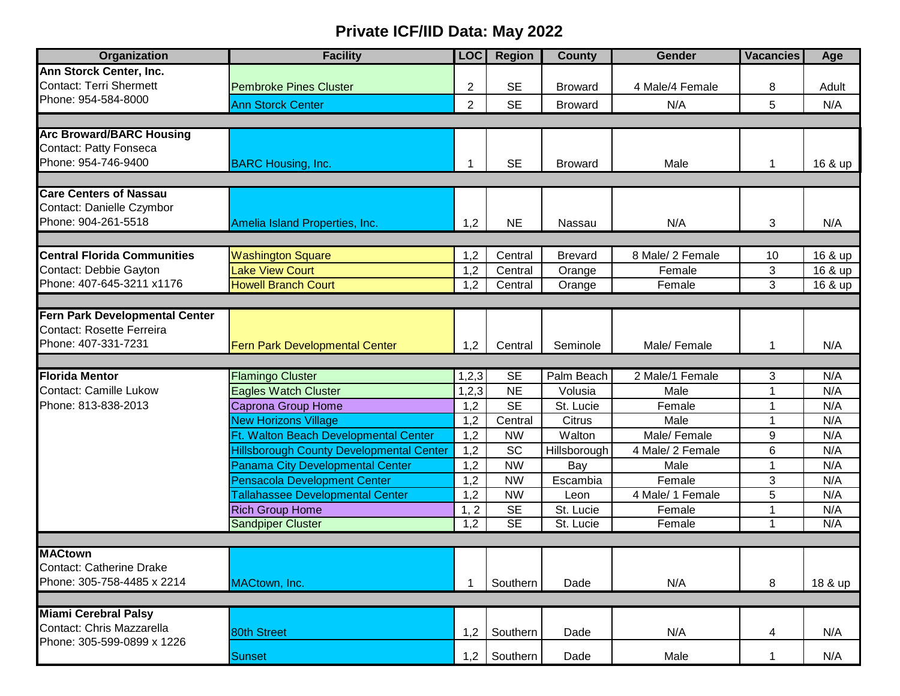## **Private ICF/IID Data: May 2022**

| Organization                       | <b>Facility</b>                                 | <b>LOC</b>     | <b>Region</b> | <b>County</b>  | <b>Gender</b>    | <b>Vacancies</b> | Age     |
|------------------------------------|-------------------------------------------------|----------------|---------------|----------------|------------------|------------------|---------|
| Ann Storck Center, Inc.            |                                                 |                |               |                |                  |                  |         |
| Contact: Terri Shermett            | <b>Pembroke Pines Cluster</b>                   | $\overline{2}$ | <b>SE</b>     | <b>Broward</b> | 4 Male/4 Female  | 8                | Adult   |
| Phone: 954-584-8000                | <b>Ann Storck Center</b>                        | $\overline{2}$ | <b>SE</b>     | <b>Broward</b> | N/A              | 5                | N/A     |
|                                    |                                                 |                |               |                |                  |                  |         |
| <b>Arc Broward/BARC Housing</b>    |                                                 |                |               |                |                  |                  |         |
| <b>Contact: Patty Fonseca</b>      |                                                 |                |               |                |                  |                  |         |
| Phone: 954-746-9400                | <b>BARC Housing, Inc.</b>                       |                | <b>SE</b>     | <b>Broward</b> | Male             | 1                | 16 & up |
|                                    |                                                 |                |               |                |                  |                  |         |
| <b>Care Centers of Nassau</b>      |                                                 |                |               |                |                  |                  |         |
| Contact: Danielle Czymbor          |                                                 |                |               |                |                  |                  |         |
| Phone: 904-261-5518                | Amelia Island Properties, Inc.                  | 1,2            | <b>NE</b>     | Nassau         | N/A              | 3                | N/A     |
|                                    |                                                 |                |               |                |                  |                  |         |
| <b>Central Florida Communities</b> | <b>Washington Square</b>                        | 1,2            | Central       | <b>Brevard</b> | 8 Male/ 2 Female | 10               | 16 & up |
| Contact: Debbie Gayton             | <b>Lake View Court</b>                          | 1,2            | Central       | Orange         | Female           | 3                | 16 & up |
| Phone: 407-645-3211 x1176          | <b>Howell Branch Court</b>                      | 1,2            | Central       | Orange         | Female           | 3                | 16 & up |
|                                    |                                                 |                |               |                |                  |                  |         |
| Fern Park Developmental Center     |                                                 |                |               |                |                  |                  |         |
| Contact: Rosette Ferreira          |                                                 |                |               |                |                  |                  |         |
| Phone: 407-331-7231                | <b>Fern Park Developmental Center</b>           | 1,2            | Central       | Seminole       | Male/Female      | 1                | N/A     |
|                                    |                                                 |                |               |                |                  |                  |         |
| <b>Florida Mentor</b>              | <b>Flamingo Cluster</b>                         | 1,2,3          | <b>SE</b>     | Palm Beach     | 2 Male/1 Female  | 3                | N/A     |
| <b>Contact: Camille Lukow</b>      | <b>Eagles Watch Cluster</b>                     | 1, 2, 3        | <b>NE</b>     | Volusia        | Male             | 1                | N/A     |
| Phone: 813-838-2013                | Caprona Group Home                              | 1,2            | <b>SE</b>     | St. Lucie      | Female           | 1                | N/A     |
|                                    | <b>New Horizons Village</b>                     | 1,2            | Central       | <b>Citrus</b>  | Male             | $\mathbf 1$      | N/A     |
|                                    | Ft. Walton Beach Developmental Center           | 1,2            | <b>NW</b>     | Walton         | Male/Female      | 9                | N/A     |
|                                    | <b>Hillsborough County Developmental Center</b> | 1,2            | <b>SC</b>     | Hillsborough   | 4 Male/ 2 Female | 6                | N/A     |
|                                    | Panama City Developmental Center                | 1,2            | <b>NW</b>     | Bay            | Male             | 1                | N/A     |
|                                    | <b>Pensacola Development Center</b>             | 1,2            | <b>NW</b>     | Escambia       | Female           | 3                | N/A     |
|                                    | <b>Tallahassee Developmental Center</b>         | 1,2            | <b>NW</b>     | Leon           | 4 Male/ 1 Female | 5                | N/A     |
|                                    | <b>Rich Group Home</b>                          | 1, 2           | <b>SE</b>     | St. Lucie      | Female           | 1                | N/A     |
|                                    | <b>Sandpiper Cluster</b>                        | 1,2            | SE            | St. Lucie      | Female           | $\mathbf 1$      | N/A     |
|                                    |                                                 |                |               |                |                  |                  |         |
| <b>MACtown</b>                     |                                                 |                |               |                |                  |                  |         |
| Contact: Catherine Drake           |                                                 |                |               |                |                  |                  |         |
| Phone: 305-758-4485 x 2214         | MACtown, Inc.                                   | -1             | Southern      | Dade           | N/A              | 8                | 18 & up |
|                                    |                                                 |                |               |                |                  |                  |         |
| <b>Miami Cerebral Palsy</b>        |                                                 |                |               |                |                  |                  |         |
| Contact: Chris Mazzarella          | 80th Street                                     | 1,2            | Southern      | Dade           | N/A              | 4                | N/A     |
| Phone: 305-599-0899 x 1226         |                                                 |                |               |                |                  |                  |         |
|                                    | <b>Sunset</b>                                   | 1,2            | Southern      | Dade           | Male             | 1                | N/A     |